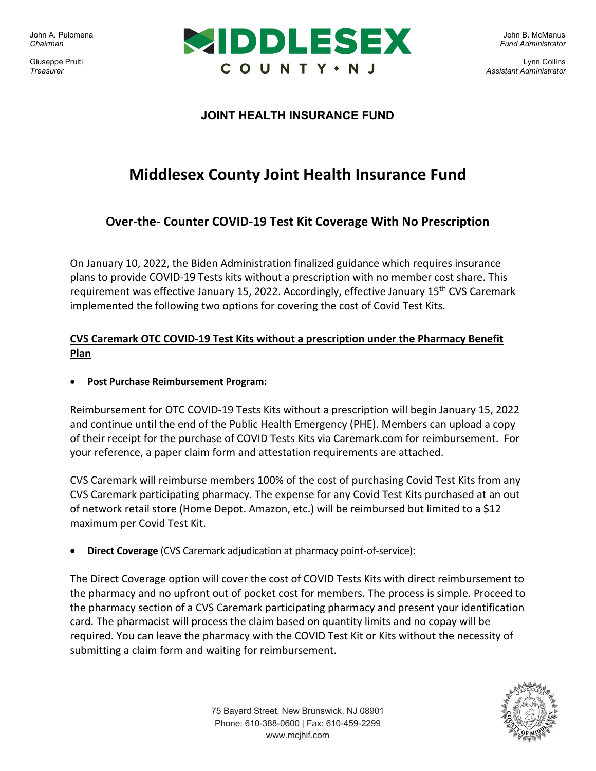John A. Pulomena *Chairman* 

Giuseppe Pruiti *Treasurer*



John B. McManus *Fund Administrator*

Lynn Collins *Assistant Administrator*

## **JOINT HEALTH INSURANCE FUND**

# **Middlesex County Joint Health Insurance Fund**

# **Over-the- Counter COVID-19 Test Kit Coverage With No Prescription**

On January 10, 2022, the Biden Administration finalized guidance which requires insurance plans to provide COVID-19 Tests kits without a prescription with no member cost share. This requirement was effective January 15, 2022. Accordingly, effective January 15<sup>th</sup> CVS Caremark implemented the following two options for covering the cost of Covid Test Kits.

### **CVS Caremark OTC COVID-19 Test Kits without a prescription under the Pharmacy Benefit Plan**

• **Post Purchase Reimbursement Program:**

Reimbursement for OTC COVID-19 Tests Kits without a prescription will begin January 15, 2022 and continue until the end of the Public Health Emergency (PHE). Members can upload a copy of their receipt for the purchase of COVID Tests Kits via Caremark.com for reimbursement. For your reference, a paper claim form and attestation requirements are attached.

CVS Caremark will reimburse members 100% of the cost of purchasing Covid Test Kits from any CVS Caremark participating pharmacy. The expense for any Covid Test Kits purchased at an out of network retail store (Home Depot. Amazon, etc.) will be reimbursed but limited to a \$12 maximum per Covid Test Kit.

• **Direct Coverage** (CVS Caremark adjudication at pharmacy point-of-service):

The Direct Coverage option will cover the cost of COVID Tests Kits with direct reimbursement to the pharmacy and no upfront out of pocket cost for members. The process is simple. Proceed to the pharmacy section of a CVS Caremark participating pharmacy and present your identification card. The pharmacist will process the claim based on quantity limits and no copay will be required. You can leave the pharmacy with the COVID Test Kit or Kits without the necessity of submitting a claim form and waiting for reimbursement.